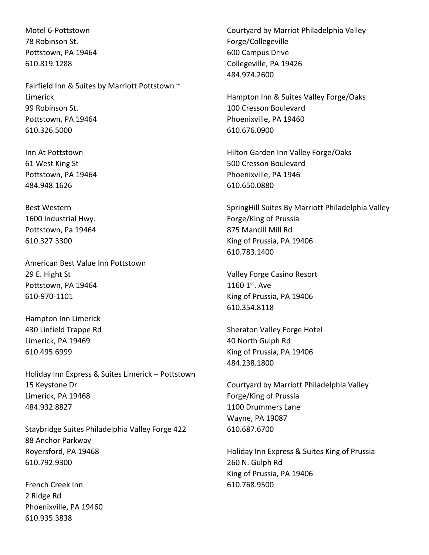Motel 6-Pottstown 78 Robinson St. Pottstown, PA 19464 610.819.1288

Fairfield Inn & Suites by Marriott Pottstown ~ Limerick 99 Robinson St. Pottstown, PA 19464 610.326.5000

Inn At Pottstown 61 West King St Pottstown, PA 19464 484.948.1626

Best Western 1600 Industrial Hwy. Pottstown, Pa 19464 610.327.3300

American Best Value Inn Pottstown 29 E. Hight St Pottstown, PA 19464 610-970-1101

Hampton Inn Limerick 430 Linfield Trappe Rd Limerick, PA 19469 610.495.6999

Holiday Inn Express & Suites Limerick – Pottstown 15 Keystone Dr Limerick, PA 19468 484.932.8827

Staybridge Suites Philadelphia Valley Forge 422 88 Anchor Parkway Royersford, PA 19468 610.792.9300

French Creek Inn 2 Ridge Rd Phoenixville, PA 19460 610.935.3838

Courtyard by Marriot Philadelphia Valley Forge/Collegeville 600 Campus Drive Collegeville, PA 19426 484.974.2600

Hampton Inn & Suites Valley Forge/Oaks 100 Cresson Boulevard Phoenixville, PA 19460 610.676.0900

Hilton Garden Inn Valley Forge/Oaks 500 Cresson Boulevard Phoenixville, PA 1946 610.650.0880

SpringHill Suites By Marriott Philadelphia Valley Forge/King of Prussia 875 Mancill Mill Rd King of Prussia, PA 19406 610.783.1400

Valley Forge Casino Resort 1160 1st. Ave King of Prussia, PA 19406 610.354.8118

Sheraton Valley Forge Hotel 40 North Gulph Rd King of Prussia, PA 19406 484.238.1800

Courtyard by Marriott Philadelphia Valley Forge/King of Prussia 1100 Drummers Lane Wayne, PA 19087 610.687.6700

Holiday Inn Express & Suites King of Prussia 260 N. Gulph Rd King of Prussia, PA 19406 610.768.9500